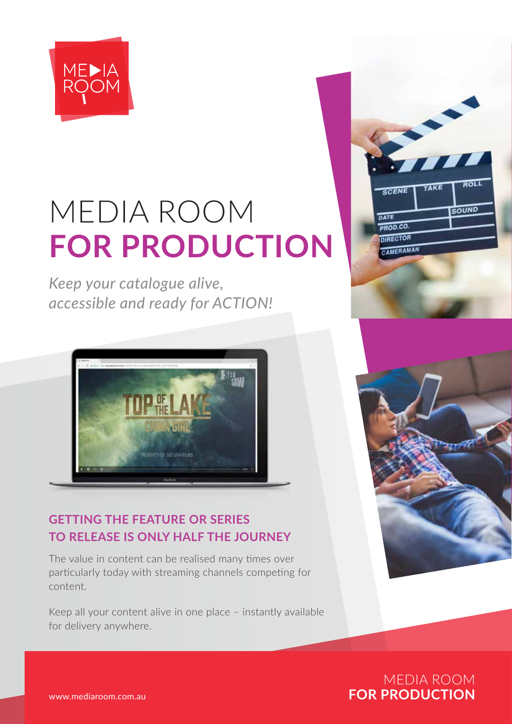

# MEDIA ROOM **FOR PRODUCTION**

*Keep your catalogue alive, accessible and ready for ACTION!* 



## **GETTING THE FEATURE OR SERIES TO RELEASE IS ONLY HALF THE JOURNEY**

The value in content can be realised many times over particularly today with streaming channels competing for content.

Keep all your content alive in one place – instantly available for delivery anywhere.





MEDIA ROOM www.mediaroom.com.au **FOR PRODUCTION**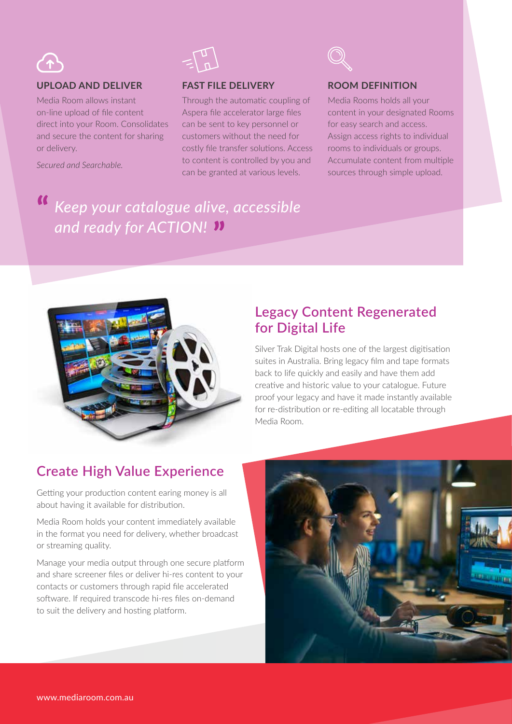

#### **UPLOAD AND DELIVER**

Media Room allows instant on-line upload of file content direct into your Room. Consolidates and secure the content for sharing or delivery.

*Secured and Searchable.*



#### **FAST FILE DELIVERY**

Through the automatic coupling of Aspera file accelerator large files can be sent to key personnel or customers without the need for costly file transfer solutions. Access to content is controlled by you and can be granted at various levels.

#### **ROOM DEFINITION**

Media Rooms holds all your content in your designated Rooms for easy search and access. Assign access rights to individual rooms to individuals or groups. Accumulate content from multiple sources through simple upload.

# *Keep your catalogue alive, accessible and ready for ACTION!*



### **Legacy Content Regenerated for Digital Life**

Silver Trak Digital hosts one of the largest digitisation suites in Australia. Bring legacy film and tape formats back to life quickly and easily and have them add creative and historic value to your catalogue. Future proof your legacy and have it made instantly available for re-distribution or re-editing all locatable through Media Room.

### **Create High Value Experience**

Getting your production content earing money is all about having it available for distribution.

Media Room holds your content immediately available in the format you need for delivery, whether broadcast or streaming quality.

Manage your media output through one secure platform and share screener files or deliver hi-res content to your contacts or customers through rapid file accelerated software. If required transcode hi-res files on-demand to suit the delivery and hosting platform.

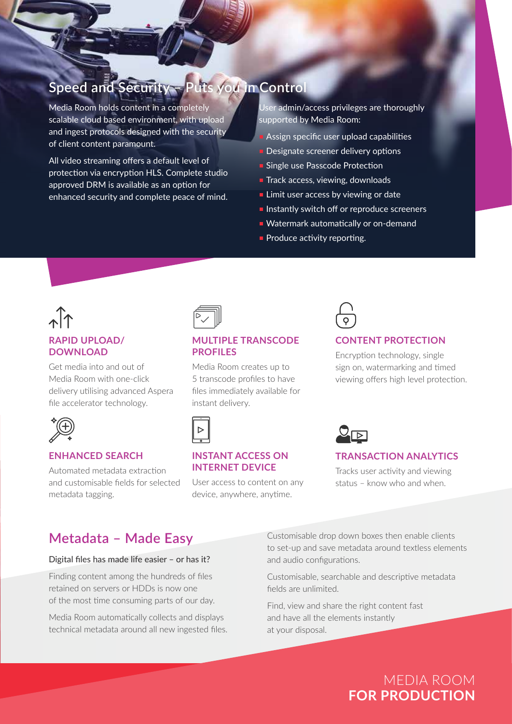# **Speed and Security – Puts you in Control**

Media Room holds content in a completely scalable cloud based environment, with upload and ingest protocols designed with the security of client content paramount.

All video streaming offers a default level of protection via encryption HLS. Complete studio approved DRM is available as an option for enhanced security and complete peace of mind.

User admin/access privileges are thoroughly supported by Media Room:

- **Assign specific user upload capabilities**
- **Designate screener delivery options**
- **Single use Passcode Protection**
- $\blacksquare$  Track access, viewing, downloads
- $\blacksquare$  Limit user access by viewing or date
- $\blacksquare$  Instantly switch off or reproduce screeners
- Watermark automatically or on-demand
- $\blacksquare$  Produce activity reporting.

# **RAPID UPLOAD/ DOWNLOAD**

Get media into and out of Media Room with one-click delivery utilising advanced Aspera file accelerator technology.



#### **ENHANCED SEARCH**

Automated metadata extraction and customisable fields for selected metadata tagging.



#### **MULTIPLE TRANSCODE PROFILES**

Media Room creates up to 5 transcode profiles to have files immediately available for instant delivery.



#### **INSTANT ACCESS ON INTERNET DEVICE**

User access to content on any device, anywhere, anytime.

# **CONTENT PROTECTION**

Encryption technology, single sign on, watermarking and timed viewing offers high level protection.



#### **TRANSACTION ANALYTICS**

Tracks user activity and viewing status – know who and when.

### **Metadata – Made Easy**

#### Digital files has made life easier – or has it?

Finding content among the hundreds of files retained on servers or HDDs is now one of the most time consuming parts of our day.

Media Room automatically collects and displays technical metadata around all new ingested files.

Customisable drop down boxes then enable clients to set-up and save metadata around textless elements and audio configurations.

Customisable, searchable and descriptive metadata fields are unlimited.

Find, view and share the right content fast and have all the elements instantly at your disposal.

# MEDIA ROOM **FOR PRODUCTION**